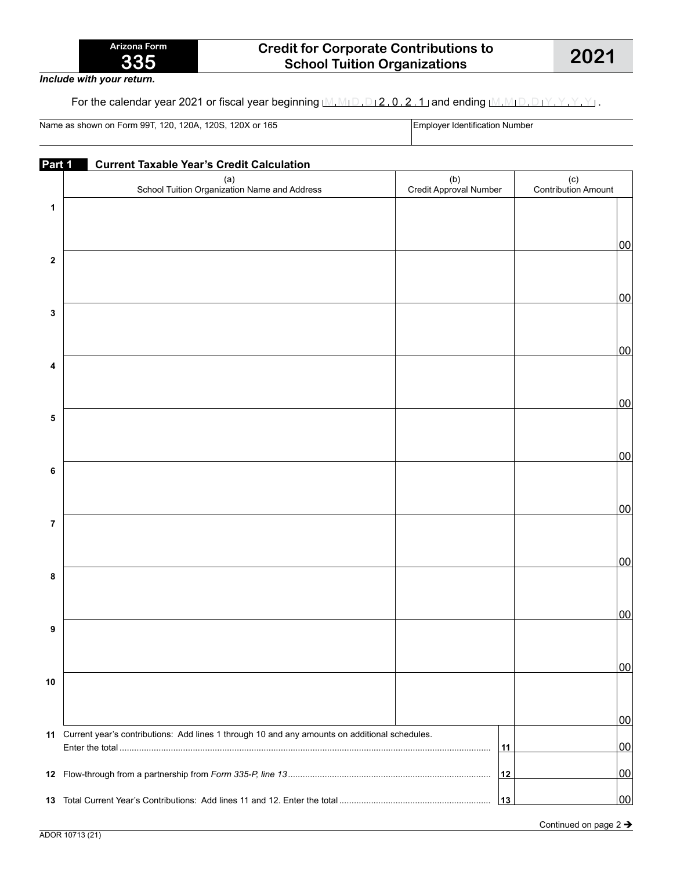*Include with your return.*

For the calendar year 2021 or fiscal year beginning  $M_1M_1D_1D_12$ , 0, 2, 1 and ending  $M_1M_1D_1D_1Y$ ,  $Y$ ,  $Y$ ,  $Y$ 

Name as shown on Form 99T, 120, 120A, 120S, 120X or 165 **Employer Identification Number** 

| Part 1      | <b>Current Taxable Year's Credit Calculation</b>                                                 |                               |                            |
|-------------|--------------------------------------------------------------------------------------------------|-------------------------------|----------------------------|
|             | (a)<br>School Tuition Organization Name and Address                                              | (b)<br>Credit Approval Number | (c)<br>Contribution Amount |
| 1           |                                                                                                  |                               | 00                         |
| $\mathbf 2$ |                                                                                                  |                               |                            |
| 3           |                                                                                                  |                               | 00                         |
| 4           |                                                                                                  |                               | 00                         |
| 5           |                                                                                                  |                               | 00                         |
| 6           |                                                                                                  |                               | 00                         |
| 7           |                                                                                                  |                               | 00                         |
| 8           |                                                                                                  |                               | 00                         |
| 9           |                                                                                                  |                               | 00                         |
|             |                                                                                                  |                               | 00                         |
| 10          |                                                                                                  |                               | 00                         |
|             | 11 Current year's contributions: Add lines 1 through 10 and any amounts on additional schedules. | 11                            | 00                         |
|             |                                                                                                  | 12                            | 00                         |
| 13          |                                                                                                  | 13                            | 00                         |